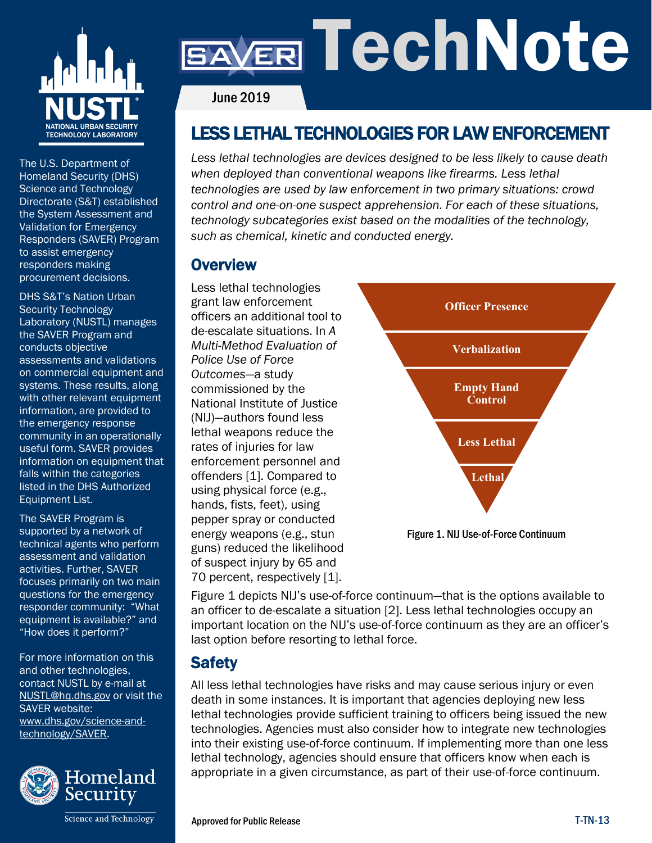

# ER TechNote

June 2019

# LESS LETHAL TECHNOLOGIES FOR LAW ENFORCEMENT

*Less lethal technologies are devices designed to be less likely to cause death when deployed than conventional weapons like firearms. Less lethal technologies are used by law enforcement in two primary situations: crowd control and one-on-one suspect apprehension. For each of these situations, technology subcategories exist based on the modalities of the technology, such as chemical, kinetic and conducted energy.* 

### **Overview**

Less lethal technologies grant law enforcement officers an additional tool to de-escalate situations. In *A Multi-Method Evaluation of Police Use of Force Outcomes*—a study commissioned by the National Institute of Justice (NIJ)—authors found less lethal weapons reduce the rates of injuries for law enforcement personnel and offenders [1]. Compared to using physical force (e.g., hands, fists, feet), using pepper spray or conducted energy weapons (e.g., stun guns) reduced the likelihood of suspect injury by 65 and 70 percent, respectively [1].



Figure 1. NIJ Use-of-Force Continuum

Figure 1 depicts NIJ's use-of-force continuum—that is the options available to an officer to de-escalate a situation [2]. Less lethal technologies occupy an important location on the NIJ's use-of-force continuum as they are an officer's last option before resorting to lethal force.

# **Safety**

All less lethal technologies have risks and may cause serious injury or even death in some instances. It is important that agencies deploying new less lethal technologies provide sufficient training to officers being issued the new technologies. Agencies must also consider how to integrate new technologies into their existing use-of-force continuum. If implementing more than one less lethal technology, agencies should ensure that officers know when each is appropriate in a given circumstance, as part of their use-of-force continuum.

The U.S. Department of Homeland Security (DHS) Science and Technology Directorate (S&T) established the System Assessment and Validation for Emergency Responders (SAVER) Program to assist emergency responders making procurement decisions.

DHS S&T's Nation Urban Security Technology Laboratory (NUSTL) manages the SAVER Program and conducts objective assessments and validations on commercial equipment and systems. These results, along with other relevant equipment information, are provided to the emergency response community in an operationally useful form. SAVER provides information on equipment that falls within the categories listed in the DHS Authorized Equipment List.

The SAVER Program is supported by a network of technical agents who perform assessment and validation activities. Further, SAVER focuses primarily on two main questions for the emergency responder community: "What equipment is available?" and "How does it perform?"

For more information on this and other technologies, contact NUSTL by e-mail at [NUSTL@hq.dhs.gov](mailto:NUSTL@hq.dhs.gov) or visit the SAVER website: [www.dhs.gov/science-and](http://www.dhs.gov/science-and-technology/SAVER)[technology/SAVER.](http://www.dhs.gov/science-and-technology/SAVER)